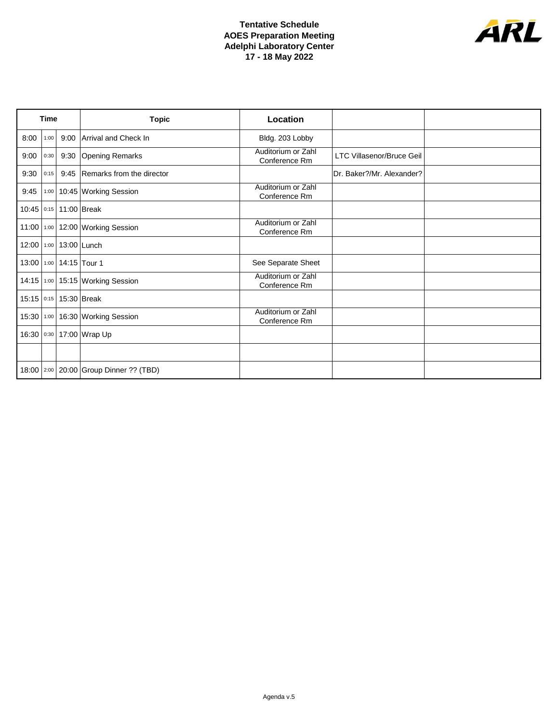## **Tentative Schedule AOES Preparation Meeting Adelphi Laboratory Center 17 - 18 May 2022**



| <b>Time</b>  |      |             | <b>Topic</b>                                 | Location                            |                                  |  |
|--------------|------|-------------|----------------------------------------------|-------------------------------------|----------------------------------|--|
| 8:00         | 1:00 |             | 9:00 Arrival and Check In                    | Bldg. 203 Lobby                     |                                  |  |
| 9:00         | 0:30 |             | 9:30 Opening Remarks                         | Auditorium or Zahl<br>Conference Rm | <b>LTC Villasenor/Bruce Geil</b> |  |
| 9:30         | 0:15 |             | 9:45 Remarks from the director               |                                     | Dr. Baker?/Mr. Alexander?        |  |
| 9:45         |      |             | 1:00 10:45 Working Session                   | Auditorium or Zahl<br>Conference Rm |                                  |  |
| $10:45$ 0:15 |      |             | 11:00 Break                                  |                                     |                                  |  |
| $11:00$ 1:00 |      |             | 12:00 Working Session                        | Auditorium or Zahl<br>Conference Rm |                                  |  |
| 12:00 1:00   |      |             | 13:00 Lunch                                  |                                     |                                  |  |
| 13:00 1:00   |      |             | 14:15 Tour 1                                 | See Separate Sheet                  |                                  |  |
| 14:15 1:00   |      |             | 15:15 Working Session                        | Auditorium or Zahl<br>Conference Rm |                                  |  |
| $15:15$ 0:15 |      | 15:30 Break |                                              |                                     |                                  |  |
| $15:30$ 1:00 |      |             | 16:30 Working Session                        | Auditorium or Zahl<br>Conference Rm |                                  |  |
| 16:30 0:30   |      |             | 17:00 Wrap Up                                |                                     |                                  |  |
|              |      |             |                                              |                                     |                                  |  |
|              |      |             | 18:00   2:00   20:00   Group Dinner ?? (TBD) |                                     |                                  |  |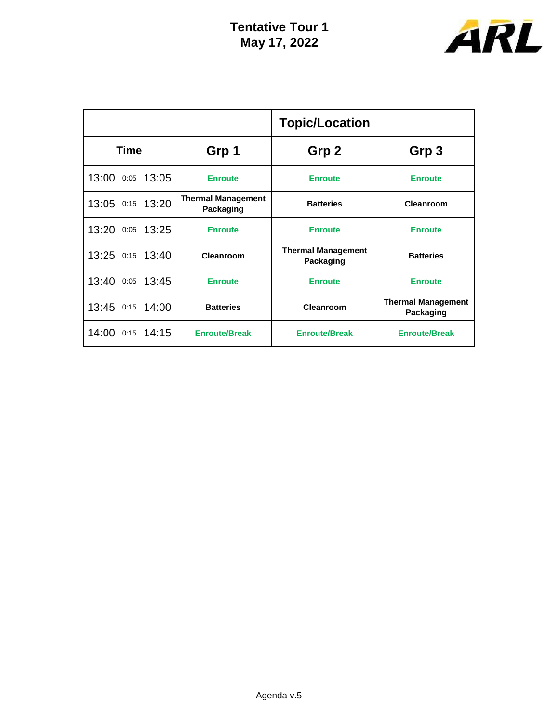

|             |      |       |                                        | <b>Topic/Location</b>                  |                                        |
|-------------|------|-------|----------------------------------------|----------------------------------------|----------------------------------------|
| <b>Time</b> |      |       | Grp 1                                  | Grp 2                                  | Grp 3                                  |
| 13:00       | 0:05 | 13:05 | <b>Enroute</b>                         | <b>Enroute</b>                         | <b>Enroute</b>                         |
| 13:05       | 0:15 | 13:20 | <b>Thermal Management</b><br>Packaging | <b>Batteries</b>                       | <b>Cleanroom</b>                       |
| 13:20       | 0:05 | 13:25 | <b>Enroute</b>                         | <b>Enroute</b>                         | <b>Enroute</b>                         |
| 13:25       | 0:15 | 13:40 | Cleanroom                              | <b>Thermal Management</b><br>Packaging | <b>Batteries</b>                       |
| 13:40       | 0:05 | 13:45 | <b>Enroute</b>                         | <b>Enroute</b>                         | <b>Enroute</b>                         |
| 13:45       | 0:15 | 14:00 | <b>Batteries</b>                       | <b>Cleanroom</b>                       | <b>Thermal Management</b><br>Packaging |
| 14:00       | 0:15 | 14:15 | <b>Enroute/Break</b>                   | <b>Enroute/Break</b>                   | <b>Enroute/Break</b>                   |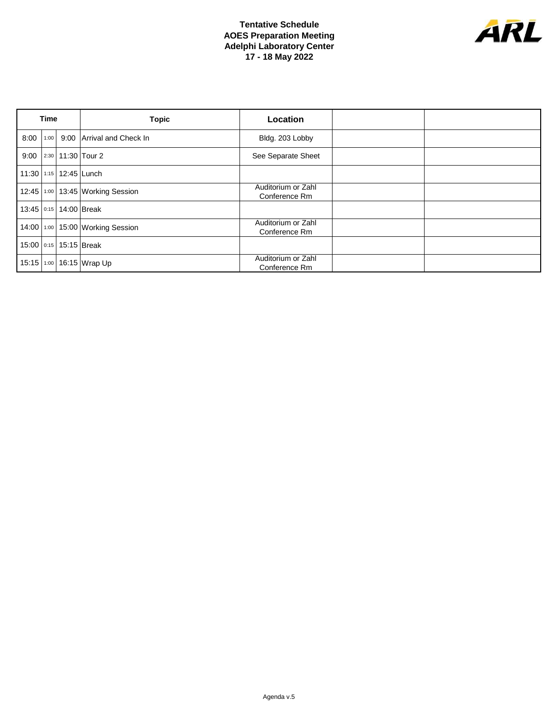## **Tentative Schedule AOES Preparation Meeting Adelphi Laboratory Center 17 - 18 May 2022**



| <b>Time</b>  |      |                        | <b>Topic</b>                           | <b>Location</b>                     |  |
|--------------|------|------------------------|----------------------------------------|-------------------------------------|--|
| 8:00         | 1:00 |                        | 9:00 Arrival and Check In              | Bldg. 203 Lobby                     |  |
|              |      |                        | 9:00   2:30   11:30   Tour 2           | See Separate Sheet                  |  |
|              |      |                        | 11:30 1:15 12:45 Lunch                 |                                     |  |
|              |      |                        | 12:45   1:00   13:45   Working Session | Auditorium or Zahl<br>Conference Rm |  |
|              |      | 13:45 0:15 14:00 Break |                                        |                                     |  |
|              |      |                        | 14:00 1:00 15:00 Working Session       | Auditorium or Zahl<br>Conference Rm |  |
|              |      | 15:00 0:15 15:15 Break |                                        |                                     |  |
| $15:15$ 1:00 |      |                        | 16:15 Wrap Up                          | Auditorium or Zahl<br>Conference Rm |  |